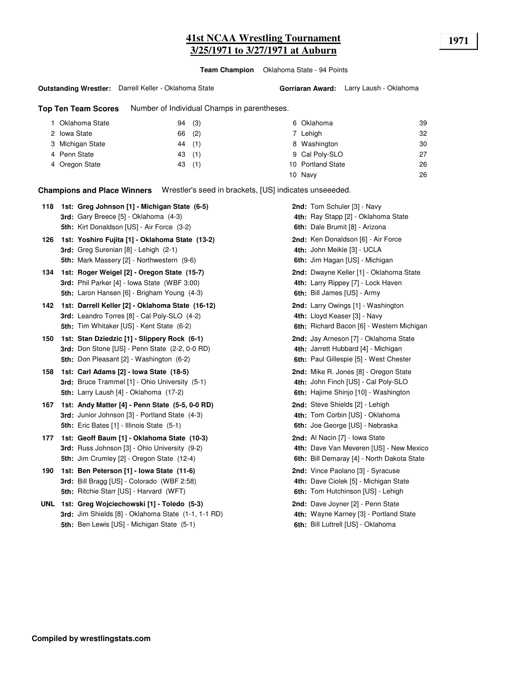**Team Champion** Oklahoma State - 94 Points

#### **Outstanding Wrestler:** Darrell Keller - Oklahoma State

**Top Ten Team Scores** Number of Individual Champs in parentheses.

| Oklahoma State   | (3)<br>94 | 6 Oklahoma        | 39 |
|------------------|-----------|-------------------|----|
| 2 Iowa State     | (2)<br>66 | 7 Lehigh          | 32 |
| 3 Michigan State | 44 (1)    | 8 Washington      | 30 |
| 4 Penn State     | 43(1)     | 9 Cal Poly-SLO    | 27 |
| 4 Oregon State   | 43(1)     | 10 Portland State | 26 |
|                  |           | 10 Navy           | 26 |

**Champions and Place Winners** Wrestler's seed in brackets, [US] indicates unseeeded.

| 118 | 1st: Greg Johnson [1] - Michigan State (6-5)<br><b>3rd:</b> Gary Breece [5] - Oklahoma (4-3)<br>5th: Kirt Donaldson [US] - Air Force (3-2)        | 2nd: Tom Schuler [3] - Navy<br>4th: Ray Stapp [2] - Oklahoma State<br>6th: Dale Brumit [8] - Arizona                    |
|-----|---------------------------------------------------------------------------------------------------------------------------------------------------|-------------------------------------------------------------------------------------------------------------------------|
| 126 | 1st: Yoshiro Fujita [1] - Oklahoma State (13-2)<br>3rd: Greg Surenian [8] - Lehigh (2-1)<br>5th: Mark Massery [2] - Northwestern (9-6)            | 2nd: Ken Donaldson [6] - Air Force<br>4th: John Meikle [3] - UCLA<br>6th: Jim Hagan [US] - Michigan                     |
| 134 | 1st: Roger Weigel [2] - Oregon State (15-7)<br>3rd: Phil Parker [4] - Iowa State (WBF 3:00)<br><b>5th:</b> Laron Hansen [6] - Brigham Young (4-3) | 2nd: Dwayne Keller [1] - Oklahoma State<br>4th: Larry Rippey [7] - Lock Haven<br>6th: Bill James [US] - Army            |
| 142 | 1st: Darrell Keller [2] - Oklahoma State (16-12)<br>3rd: Leandro Torres [8] - Cal Poly-SLO (4-2)<br>5th: Tim Whitaker [US] - Kent State (6-2)     | 2nd: Larry Owings [1] - Washington<br>4th: Lloyd Keaser [3] - Navy<br>6th: Richard Bacon [6] - Western Michigan         |
| 150 | 1st: Stan Dziedzic [1] - Slippery Rock (6-1)<br>3rd: Don Stone [US] - Penn State (2-2, 0-0 RD)<br>5th: Don Pleasant [2] - Washington (6-2)        | 2nd: Jay Arneson [7] - Oklahoma State<br>4th: Jarrett Hubbard [4] - Michigan<br>6th: Paul Gillespie [5] - West Chester  |
| 158 | 1st: Carl Adams [2] - Iowa State (18-5)<br>3rd: Bruce Trammel [1] - Ohio University (5-1)<br>5th: Larry Laush [4] - Oklahoma (17-2)               | 2nd: Mike R. Jones [8] - Oregon State<br>4th: John Finch [US] - Cal Poly-SLO<br>6th: Hajime Shinjo [10] - Washington    |
| 167 | 1st: Andy Matter [4] - Penn State (5-5, 0-0 RD)<br>3rd: Junior Johnson [3] - Portland State (4-3)<br>5th: Eric Bates [1] - Illinois State (5-1)   | 2nd: Steve Shields [2] - Lehigh<br>4th: Tom Corbin [US] - Oklahoma<br>6th: Joe George [US] - Nebraska                   |
| 177 | 1st: Geoff Baum [1] - Oklahoma State (10-3)<br>3rd: Russ Johnson [3] - Ohio University (9-2)<br>5th: Jim Crumley [2] - Oregon State (12-4)        | 2nd: Al Nacin [7] - Iowa State<br>4th: Dave Van Meveren [US] - New Mexico<br>6th: Bill Demaray [4] - North Dakota State |
| 190 | 1st: Ben Peterson [1] - Iowa State (11-6)<br>3rd: Bill Bragg [US] - Colorado (WBF 2:58)<br>5th: Ritchie Starr [US] - Harvard (WFT)                | 2nd: Vince Paolano [3] - Syracuse<br>4th: Dave Ciolek [5] - Michigan State<br>6th: Tom Hutchinson [US] - Lehigh         |
| UNL | 1st: Greg Wojciechowski [1] - Toledo (5-3)<br>3rd: Jim Shields [8] - Oklahoma State (1-1, 1-1 RD)<br>5th: Ben Lewis [US] - Michigan State (5-1)   | 2nd: Dave Joyner [2] - Penn State<br>4th: Wayne Karney [3] - Portland State<br>6th: Bill Luttrell [US] - Oklahoma       |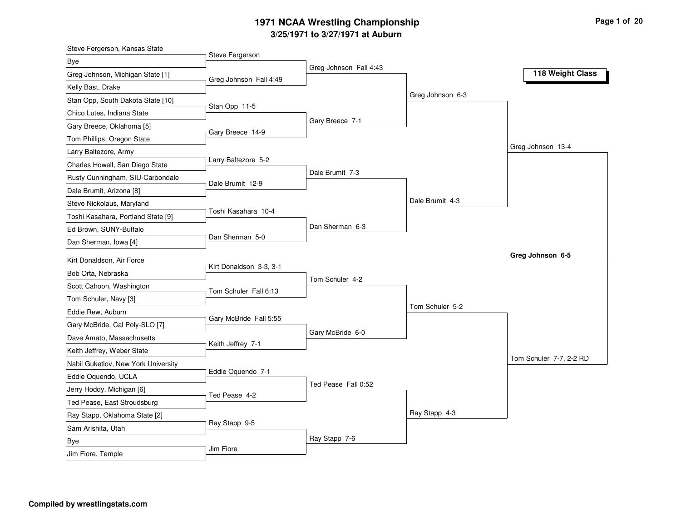## **3/25/1971 to 3/27/1971 at Auburn 1971 NCAA Wrestling Championship Page <sup>1</sup> of <sup>20</sup>**

| Steve Fergerson, Kansas State       |                         |                        |                  |                         |
|-------------------------------------|-------------------------|------------------------|------------------|-------------------------|
| Bye                                 | Steve Fergerson         |                        |                  |                         |
| Greg Johnson, Michigan State [1]    | Greg Johnson Fall 4:49  | Greg Johnson Fall 4:43 |                  | 118 Weight Class        |
| Kelly Bast, Drake                   |                         |                        |                  |                         |
| Stan Opp, South Dakota State [10]   |                         |                        | Greg Johnson 6-3 |                         |
| Chico Lutes, Indiana State          | Stan Opp 11-5           |                        |                  |                         |
| Gary Breece, Oklahoma [5]           |                         | Gary Breece 7-1        |                  |                         |
| Tom Phillips, Oregon State          | Gary Breece 14-9        |                        |                  |                         |
| Larry Baltezore, Army               |                         |                        |                  | Greg Johnson 13-4       |
| Charles Howell, San Diego State     | Larry Baltezore 5-2     |                        |                  |                         |
| Rusty Cunningham, SIU-Carbondale    | Dale Brumit 12-9        | Dale Brumit 7-3        |                  |                         |
| Dale Brumit, Arizona [8]            |                         |                        |                  |                         |
| Steve Nickolaus, Maryland           |                         |                        | Dale Brumit 4-3  |                         |
| Toshi Kasahara, Portland State [9]  | Toshi Kasahara 10-4     |                        |                  |                         |
| Ed Brown, SUNY-Buffalo              |                         | Dan Sherman 6-3        |                  |                         |
| Dan Sherman, Iowa [4]               | Dan Sherman 5-0         |                        |                  |                         |
| Kirt Donaldson, Air Force           |                         |                        |                  | Greg Johnson 6-5        |
| Bob Orta, Nebraska                  | Kirt Donaldson 3-3, 3-1 |                        |                  |                         |
| Scott Cahoon, Washington            |                         | Tom Schuler 4-2        |                  |                         |
| Tom Schuler, Navy [3]               | Tom Schuler Fall 6:13   |                        |                  |                         |
| Eddie Rew, Auburn                   |                         |                        | Tom Schuler 5-2  |                         |
| Gary McBride, Cal Poly-SLO [7]      | Gary McBride Fall 5:55  |                        |                  |                         |
| Dave Amato, Massachusetts           |                         | Gary McBride 6-0       |                  |                         |
| Keith Jeffrey, Weber State          | Keith Jeffrey 7-1       |                        |                  |                         |
| Nabil Guketlov, New York University |                         |                        |                  | Tom Schuler 7-7, 2-2 RD |
| Eddie Oquendo, UCLA                 | Eddie Oquendo 7-1       |                        |                  |                         |
| Jerry Hoddy, Michigan [6]           |                         | Ted Pease Fall 0:52    |                  |                         |
| Ted Pease, East Stroudsburg         | Ted Pease 4-2           |                        |                  |                         |
| Ray Stapp, Oklahoma State [2]       |                         |                        | Ray Stapp 4-3    |                         |
| Sam Arishita, Utah                  | Ray Stapp 9-5           |                        |                  |                         |
| Bye                                 |                         | Ray Stapp 7-6          |                  |                         |
| Jim Fiore, Temple                   | Jim Fiore               |                        |                  |                         |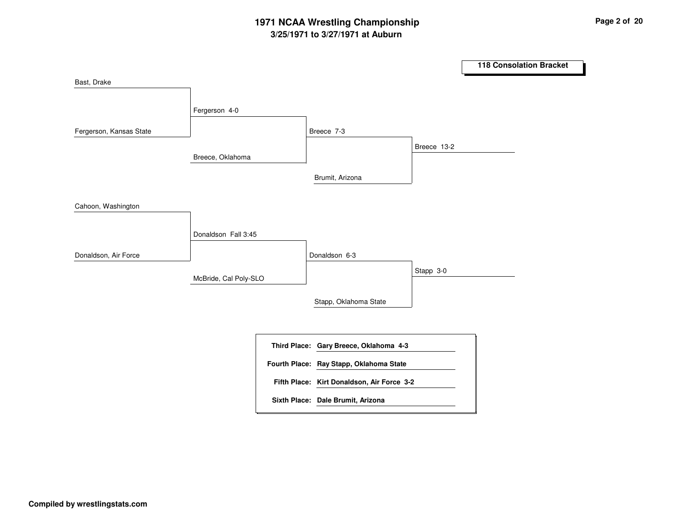# **3/25/1971 to 3/27/1971 at Auburn 1971 NCAA Wrestling Championship Page <sup>2</sup> of <sup>20</sup>**

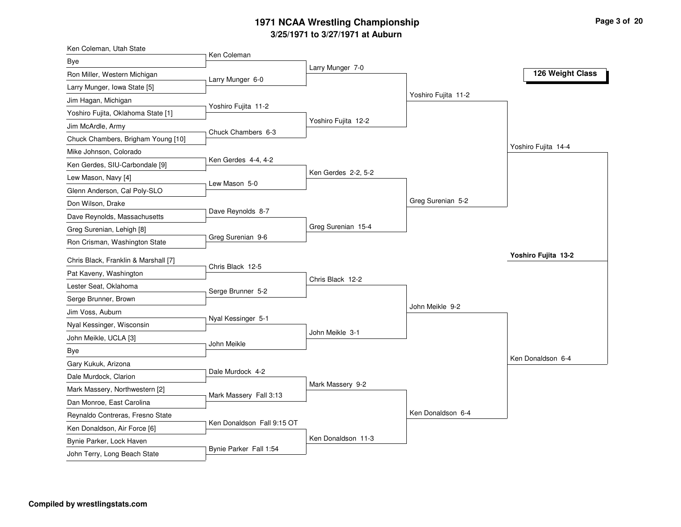## **3/25/1971 to 3/27/1971 at Auburn 1971 NCAA Wrestling Championship Page <sup>3</sup> of <sup>20</sup>**

| Ken Coleman, Utah State              |                            |                     |                     |                     |
|--------------------------------------|----------------------------|---------------------|---------------------|---------------------|
| Bye                                  | Ken Coleman                |                     |                     |                     |
| Ron Miller, Western Michigan         | Larry Munger 6-0           | Larry Munger 7-0    |                     | 126 Weight Class    |
| Larry Munger, Iowa State [5]         |                            |                     |                     |                     |
| Jim Hagan, Michigan                  |                            |                     | Yoshiro Fujita 11-2 |                     |
| Yoshiro Fujita, Oklahoma State [1]   | Yoshiro Fujita 11-2        |                     |                     |                     |
| Jim McArdle, Army                    |                            | Yoshiro Fujita 12-2 |                     |                     |
| Chuck Chambers, Brigham Young [10]   | Chuck Chambers 6-3         |                     |                     |                     |
| Mike Johnson, Colorado               |                            |                     |                     | Yoshiro Fujita 14-4 |
| Ken Gerdes, SIU-Carbondale [9]       | Ken Gerdes 4-4, 4-2        |                     |                     |                     |
| Lew Mason, Navy [4]                  |                            | Ken Gerdes 2-2, 5-2 |                     |                     |
| Glenn Anderson, Cal Poly-SLO         | Lew Mason 5-0              |                     |                     |                     |
| Don Wilson, Drake                    |                            |                     | Greg Surenian 5-2   |                     |
| Dave Reynolds, Massachusetts         | Dave Reynolds 8-7          |                     |                     |                     |
| Greg Surenian, Lehigh [8]            |                            | Greg Surenian 15-4  |                     |                     |
| Ron Crisman, Washington State        | Greg Surenian 9-6          |                     |                     |                     |
|                                      |                            |                     |                     | Yoshiro Fujita 13-2 |
| Chris Black, Franklin & Marshall [7] | Chris Black 12-5           |                     |                     |                     |
| Pat Kaveny, Washington               |                            | Chris Black 12-2    |                     |                     |
| Lester Seat, Oklahoma                | Serge Brunner 5-2          |                     |                     |                     |
| Serge Brunner, Brown                 |                            |                     | John Meikle 9-2     |                     |
| Jim Voss, Auburn                     | Nyal Kessinger 5-1         |                     |                     |                     |
| Nyal Kessinger, Wisconsin            |                            | John Meikle 3-1     |                     |                     |
| John Meikle, UCLA [3]                | John Meikle                |                     |                     |                     |
| Bye                                  |                            |                     |                     | Ken Donaldson 6-4   |
| Gary Kukuk, Arizona                  |                            |                     |                     |                     |
| Dale Murdock, Clarion                | Dale Murdock 4-2           |                     |                     |                     |
| Mark Massery, Northwestern [2]       | Mark Massery Fall 3:13     | Mark Massery 9-2    |                     |                     |
| Dan Monroe, East Carolina            |                            |                     |                     |                     |
| Reynaldo Contreras, Fresno State     |                            |                     | Ken Donaldson 6-4   |                     |
| Ken Donaldson, Air Force [6]         | Ken Donaldson Fall 9:15 OT |                     |                     |                     |
| Bynie Parker, Lock Haven             |                            | Ken Donaldson 11-3  |                     |                     |
| John Terry, Long Beach State         | Bynie Parker Fall 1:54     |                     |                     |                     |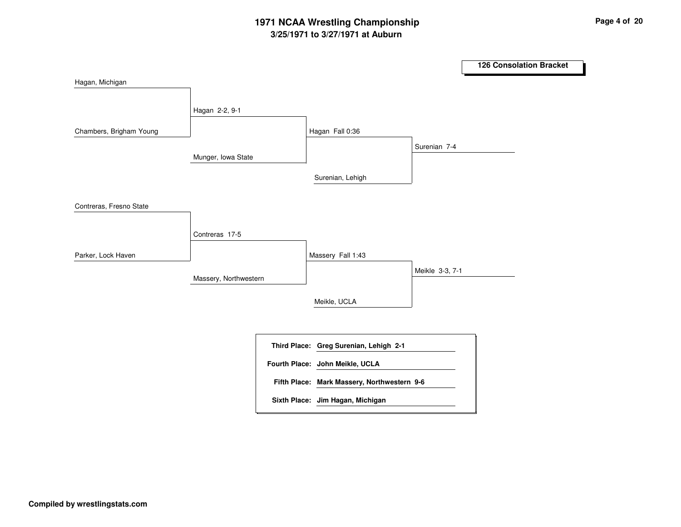# **3/25/1971 to 3/27/1971 at Auburn 1971 NCAA Wrestling Championship Page <sup>4</sup> of <sup>20</sup>**

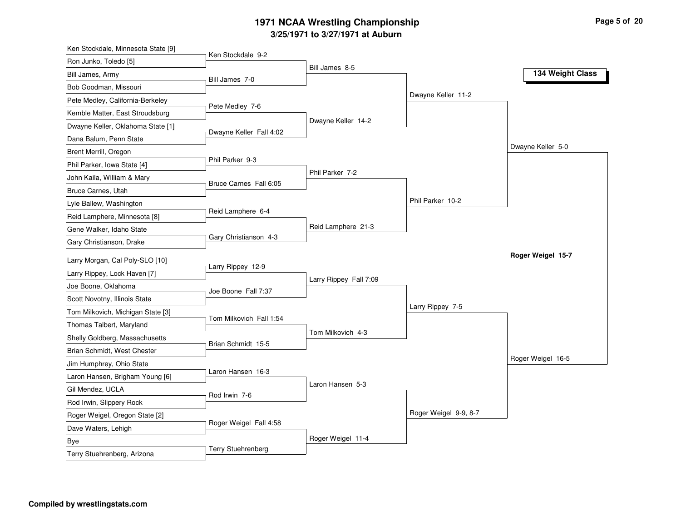## **3/25/1971 to 3/27/1971 at Auburn 1971 NCAA Wrestling Championship Page <sup>5</sup> of <sup>20</sup>**

| Ken Stockdale, Minnesota State [9] |                           |                        |                       |                   |
|------------------------------------|---------------------------|------------------------|-----------------------|-------------------|
| Ron Junko, Toledo [5]              | Ken Stockdale 9-2         | Bill James 8-5         |                       |                   |
| Bill James, Army                   | Bill James 7-0            |                        |                       | 134 Weight Class  |
| Bob Goodman, Missouri              |                           |                        |                       |                   |
| Pete Medley, California-Berkeley   |                           |                        | Dwayne Keller 11-2    |                   |
| Kemble Matter, East Stroudsburg    | Pete Medley 7-6           |                        |                       |                   |
| Dwayne Keller, Oklahoma State [1]  |                           | Dwayne Keller 14-2     |                       |                   |
| Dana Balum, Penn State             | Dwayne Keller Fall 4:02   |                        |                       |                   |
| Brent Merrill, Oregon              |                           |                        |                       | Dwayne Keller 5-0 |
| Phil Parker, Iowa State [4]        | Phil Parker 9-3           |                        |                       |                   |
| John Kaila, William & Mary         |                           | Phil Parker 7-2        |                       |                   |
| Bruce Carnes, Utah                 | Bruce Carnes Fall 6:05    |                        |                       |                   |
| Lyle Ballew, Washington            |                           |                        | Phil Parker 10-2      |                   |
| Reid Lamphere, Minnesota [8]       | Reid Lamphere 6-4         |                        |                       |                   |
| Gene Walker, Idaho State           |                           | Reid Lamphere 21-3     |                       |                   |
| Gary Christianson, Drake           | Gary Christianson 4-3     |                        |                       |                   |
| Larry Morgan, Cal Poly-SLO [10]    |                           |                        |                       | Roger Weigel 15-7 |
| Larry Rippey, Lock Haven [7]       | Larry Rippey 12-9         |                        |                       |                   |
| Joe Boone, Oklahoma                |                           | Larry Rippey Fall 7:09 |                       |                   |
|                                    |                           |                        |                       |                   |
|                                    | Joe Boone Fall 7:37       |                        |                       |                   |
| Scott Novotny, Illinois State      |                           |                        | Larry Rippey 7-5      |                   |
| Tom Milkovich, Michigan State [3]  | Tom Milkovich Fall 1:54   |                        |                       |                   |
| Thomas Talbert, Maryland           |                           | Tom Milkovich 4-3      |                       |                   |
| Shelly Goldberg, Massachusetts     | Brian Schmidt 15-5        |                        |                       |                   |
| Brian Schmidt, West Chester        |                           |                        |                       | Roger Weigel 16-5 |
| Jim Humphrey, Ohio State           | Laron Hansen 16-3         |                        |                       |                   |
| Laron Hansen, Brigham Young [6]    |                           | Laron Hansen 5-3       |                       |                   |
| Gil Mendez, UCLA                   | Rod Irwin 7-6             |                        |                       |                   |
| Rod Irwin, Slippery Rock           |                           |                        |                       |                   |
| Roger Weigel, Oregon State [2]     | Roger Weigel Fall 4:58    |                        | Roger Weigel 9-9, 8-7 |                   |
| Dave Waters, Lehigh                |                           |                        |                       |                   |
| Bye<br>Terry Stuehrenberg, Arizona | <b>Terry Stuehrenberg</b> | Roger Weigel 11-4      |                       |                   |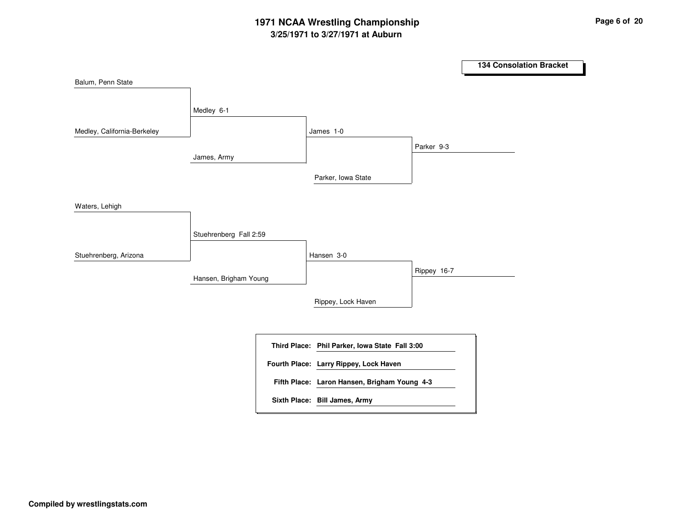# **3/25/1971 to 3/27/1971 at Auburn 1971 NCAA Wrestling Championship Page <sup>6</sup> of <sup>20</sup>**

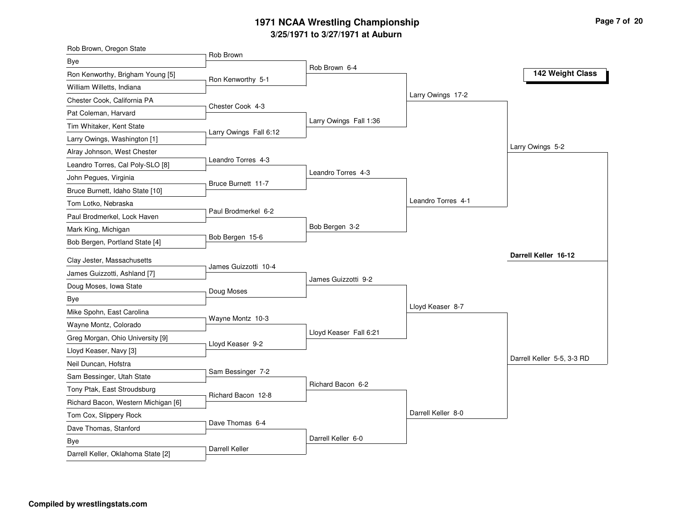# **3/25/1971 to 3/27/1971 at Auburn 1971 NCAA Wrestling Championship Page <sup>7</sup> of <sup>20</sup>**

| Rob Brown, Oregon State             | Rob Brown              |                        |                    |                            |
|-------------------------------------|------------------------|------------------------|--------------------|----------------------------|
| Bye                                 |                        | Rob Brown 6-4          |                    |                            |
| Ron Kenworthy, Brigham Young [5]    | Ron Kenworthy 5-1      |                        |                    | 142 Weight Class           |
| William Willetts, Indiana           |                        |                        |                    |                            |
| Chester Cook, California PA         |                        |                        | Larry Owings 17-2  |                            |
| Pat Coleman, Harvard                | Chester Cook 4-3       |                        |                    |                            |
| Tim Whitaker, Kent State            |                        | Larry Owings Fall 1:36 |                    |                            |
| Larry Owings, Washington [1]        | Larry Owings Fall 6:12 |                        |                    |                            |
| Alray Johnson, West Chester         |                        |                        |                    | Larry Owings 5-2           |
| Leandro Torres, Cal Poly-SLO [8]    | Leandro Torres 4-3     |                        |                    |                            |
| John Pegues, Virginia               | Bruce Burnett 11-7     | Leandro Torres 4-3     |                    |                            |
| Bruce Burnett, Idaho State [10]     |                        |                        |                    |                            |
| Tom Lotko, Nebraska                 |                        |                        | Leandro Torres 4-1 |                            |
| Paul Brodmerkel, Lock Haven         | Paul Brodmerkel 6-2    |                        |                    |                            |
| Mark King, Michigan                 |                        | Bob Bergen 3-2         |                    |                            |
| Bob Bergen, Portland State [4]      | Bob Bergen 15-6        |                        |                    |                            |
| Clay Jester, Massachusetts          |                        |                        |                    | Darrell Keller 16-12       |
| James Guizzotti, Ashland [7]        | James Guizzotti 10-4   |                        |                    |                            |
| Doug Moses, Iowa State              |                        | James Guizzotti 9-2    |                    |                            |
| <b>Bye</b>                          | Doug Moses             |                        |                    |                            |
| Mike Spohn, East Carolina           |                        |                        | Lloyd Keaser 8-7   |                            |
| Wayne Montz, Colorado               | Wayne Montz 10-3       |                        |                    |                            |
| Greg Morgan, Ohio University [9]    |                        | Lloyd Keaser Fall 6:21 |                    |                            |
| Lloyd Keaser, Navy [3]              | Lloyd Keaser 9-2       |                        |                    |                            |
| Neil Duncan, Hofstra                |                        |                        |                    | Darrell Keller 5-5, 3-3 RD |
| Sam Bessinger, Utah State           | Sam Bessinger 7-2      |                        |                    |                            |
| Tony Ptak, East Stroudsburg         |                        | Richard Bacon 6-2      |                    |                            |
|                                     | Richard Bacon 12-8     |                        |                    |                            |
| Richard Bacon, Western Michigan [6] |                        |                        | Darrell Keller 8-0 |                            |
| Tom Cox, Slippery Rock              | Dave Thomas 6-4        |                        |                    |                            |
| Dave Thomas, Stanford               |                        | Darrell Keller 6-0     |                    |                            |
| Bye                                 | Darrell Keller         |                        |                    |                            |
| Darrell Keller, Oklahoma State [2]  |                        |                        |                    |                            |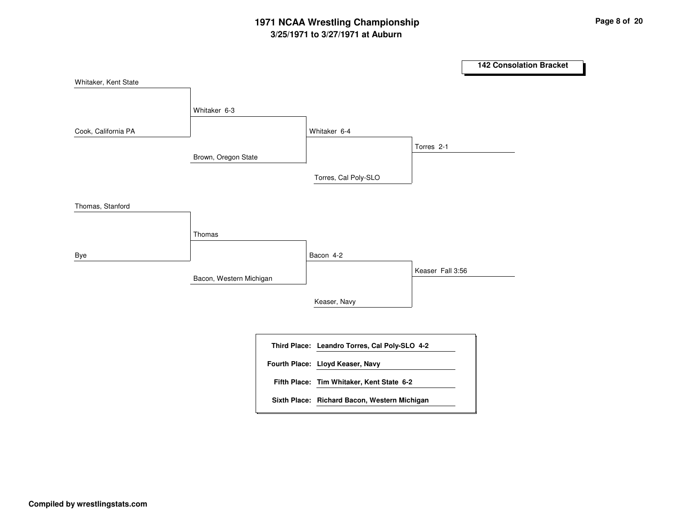# **3/25/1971 to 3/27/1971 at Auburn 1971 NCAA Wrestling Championship Page <sup>8</sup> of <sup>20</sup>**

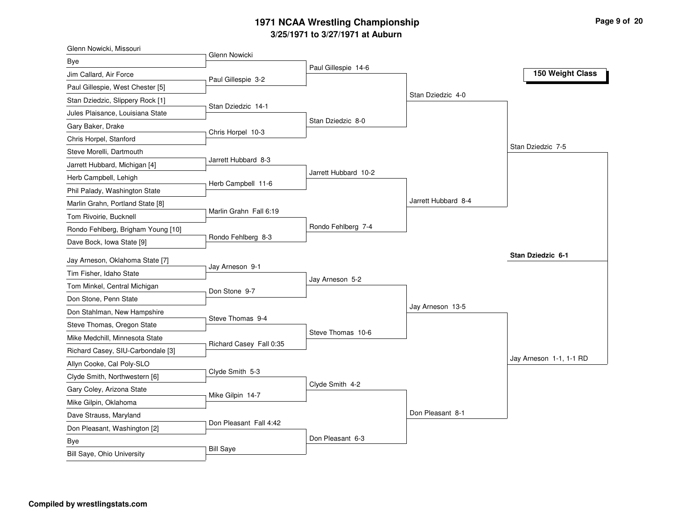## **3/25/1971 to 3/27/1971 at Auburn 1971 NCAA Wrestling Championship Page <sup>9</sup> of <sup>20</sup>**

| Glenn Nowicki, Missouri            | Glenn Nowicki           |                      |                     |                         |
|------------------------------------|-------------------------|----------------------|---------------------|-------------------------|
| Bye                                |                         | Paul Gillespie 14-6  |                     |                         |
| Jim Callard, Air Force             | Paul Gillespie 3-2      |                      |                     | 150 Weight Class        |
| Paul Gillespie, West Chester [5]   |                         |                      |                     |                         |
| Stan Dziedzic, Slippery Rock [1]   | Stan Dziedzic 14-1      |                      | Stan Dziedzic 4-0   |                         |
| Jules Plaisance, Louisiana State   |                         |                      |                     |                         |
| Gary Baker, Drake                  | Chris Horpel 10-3       | Stan Dziedzic 8-0    |                     |                         |
| Chris Horpel, Stanford             |                         |                      |                     |                         |
| Steve Morelli, Dartmouth           |                         |                      |                     | Stan Dziedzic 7-5       |
| Jarrett Hubbard, Michigan [4]      | Jarrett Hubbard 8-3     |                      |                     |                         |
| Herb Campbell, Lehigh              | Herb Campbell 11-6      | Jarrett Hubbard 10-2 |                     |                         |
| Phil Palady, Washington State      |                         |                      |                     |                         |
| Marlin Grahn, Portland State [8]   |                         |                      | Jarrett Hubbard 8-4 |                         |
| Tom Rivoirie, Bucknell             | Marlin Grahn Fall 6:19  |                      |                     |                         |
| Rondo Fehlberg, Brigham Young [10] |                         | Rondo Fehlberg 7-4   |                     |                         |
| Dave Bock, Iowa State [9]          | Rondo Fehlberg 8-3      |                      |                     |                         |
| Jay Arneson, Oklahoma State [7]    |                         |                      |                     | Stan Dziedzic 6-1       |
| Tim Fisher, Idaho State            | Jay Arneson 9-1         |                      |                     |                         |
| Tom Minkel, Central Michigan       |                         | Jay Arneson 5-2      |                     |                         |
| Don Stone, Penn State              | Don Stone 9-7           |                      |                     |                         |
| Don Stahlman, New Hampshire        |                         |                      | Jay Arneson 13-5    |                         |
| Steve Thomas, Oregon State         | Steve Thomas 9-4        |                      |                     |                         |
| Mike Medchill, Minnesota State     |                         | Steve Thomas 10-6    |                     |                         |
| Richard Casey, SIU-Carbondale [3]  | Richard Casey Fall 0:35 |                      |                     |                         |
| Allyn Cooke, Cal Poly-SLO          |                         |                      |                     | Jay Arneson 1-1, 1-1 RD |
| Clyde Smith, Northwestern [6]      | Clyde Smith 5-3         |                      |                     |                         |
| Gary Coley, Arizona State          |                         | Clyde Smith 4-2      |                     |                         |
| Mike Gilpin, Oklahoma              | Mike Gilpin 14-7        |                      |                     |                         |
| Dave Strauss, Maryland             |                         |                      | Don Pleasant 8-1    |                         |
| Don Pleasant, Washington [2]       | Don Pleasant Fall 4:42  |                      |                     |                         |
| Bye                                |                         | Don Pleasant 6-3     |                     |                         |
|                                    | <b>Bill Saye</b>        |                      |                     |                         |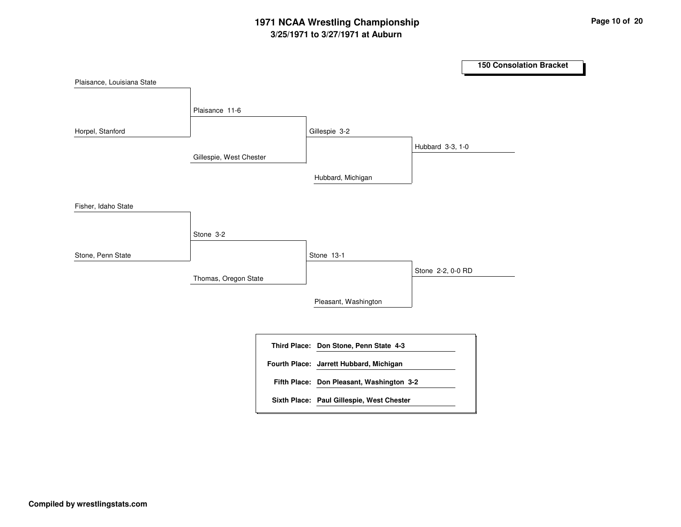# **3/25/1971 to 3/27/1971 at Auburn 1971 NCAA Wrestling Championship Page <sup>10</sup> of <sup>20</sup>**

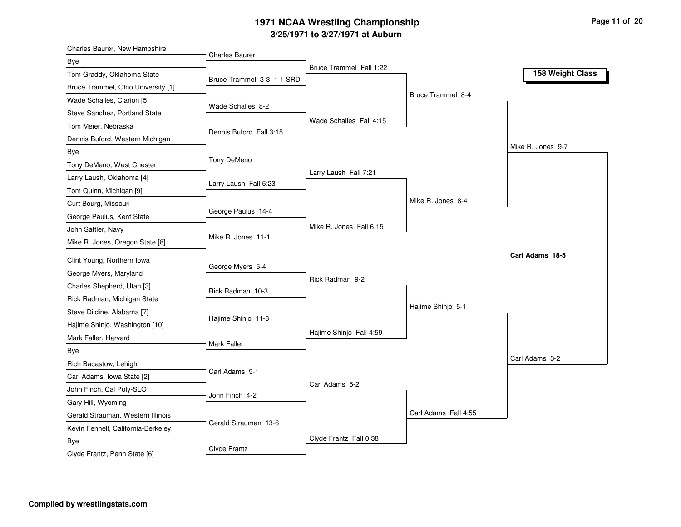# **3/25/1971 to 3/27/1971 at Auburn 1971 NCAA Wrestling Championship Page <sup>11</sup> of <sup>20</sup>**

| Charles Baurer, New Hampshire      | <b>Charles Baurer</b>      |                         |                      |                   |
|------------------------------------|----------------------------|-------------------------|----------------------|-------------------|
| Bye                                |                            | Bruce Trammel Fall 1:22 |                      |                   |
| Tom Graddy, Oklahoma State         | Bruce Trammel 3-3, 1-1 SRD |                         |                      | 158 Weight Class  |
| Bruce Trammel, Ohio University [1] |                            |                         |                      |                   |
| Wade Schalles, Clarion [5]         |                            |                         | Bruce Trammel 8-4    |                   |
| Steve Sanchez, Portland State      | Wade Schalles 8-2          |                         |                      |                   |
| Tom Meier, Nebraska                |                            | Wade Schalles Fall 4:15 |                      |                   |
| Dennis Buford, Western Michigan    | Dennis Buford Fall 3:15    |                         |                      |                   |
| Bye                                |                            |                         |                      | Mike R. Jones 9-7 |
| Tony DeMeno, West Chester          | Tony DeMeno                |                         |                      |                   |
| Larry Laush, Oklahoma [4]          |                            | Larry Laush Fall 7:21   |                      |                   |
| Tom Quinn, Michigan [9]            | Larry Laush Fall 5:23      |                         |                      |                   |
| Curt Bourg, Missouri               |                            |                         | Mike R. Jones 8-4    |                   |
| George Paulus, Kent State          | George Paulus 14-4         |                         |                      |                   |
| John Sattler, Navy                 |                            | Mike R. Jones Fall 6:15 |                      |                   |
| Mike R. Jones, Oregon State [8]    | Mike R. Jones 11-1         |                         |                      |                   |
|                                    |                            |                         |                      |                   |
|                                    |                            |                         |                      | Carl Adams 18-5   |
| Clint Young, Northern Iowa         | George Myers 5-4           |                         |                      |                   |
| George Myers, Maryland             |                            | Rick Radman 9-2         |                      |                   |
| Charles Shepherd, Utah [3]         | Rick Radman 10-3           |                         |                      |                   |
| Rick Radman, Michigan State        |                            |                         | Hajime Shinjo 5-1    |                   |
| Steve Dildine, Alabama [7]         | Hajime Shinjo 11-8         |                         |                      |                   |
| Hajime Shinjo, Washington [10]     |                            |                         |                      |                   |
| Mark Faller, Harvard               | Mark Faller                | Hajime Shinjo Fall 4:59 |                      |                   |
| Bye                                |                            |                         |                      | Carl Adams 3-2    |
| Rich Bacastow, Lehigh              |                            |                         |                      |                   |
| Carl Adams, Iowa State [2]         | Carl Adams 9-1             |                         |                      |                   |
| John Finch, Cal Poly-SLO           | John Finch 4-2             | Carl Adams 5-2          |                      |                   |
| Gary Hill, Wyoming                 |                            |                         |                      |                   |
| Gerald Strauman, Western Illinois  |                            |                         | Carl Adams Fall 4:55 |                   |
| Kevin Fennell, California-Berkeley | Gerald Strauman 13-6       |                         |                      |                   |
| Bye                                | Clyde Frantz               | Clyde Frantz Fall 0:38  |                      |                   |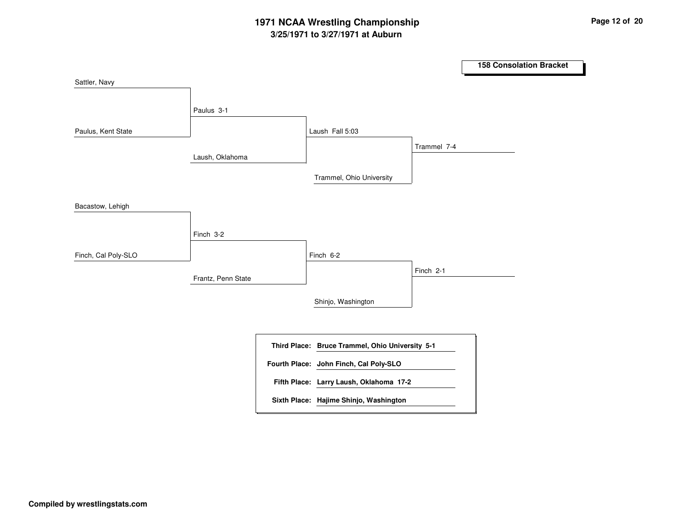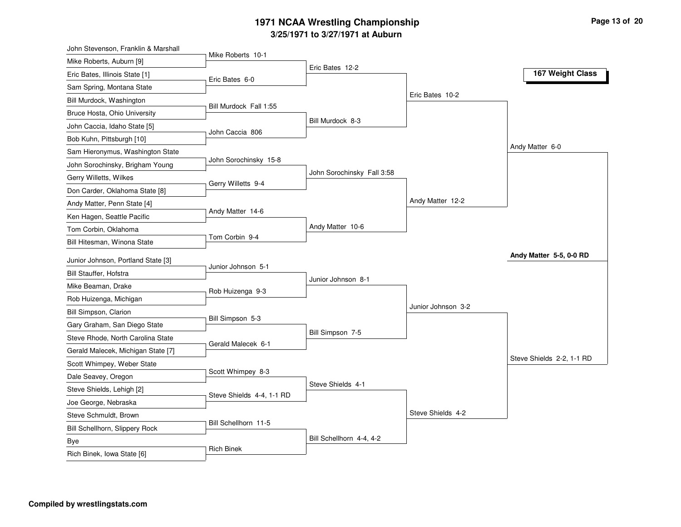# **3/25/1971 to 3/27/1971 at Auburn 1971 NCAA Wrestling Championship Page <sup>13</sup> of <sup>20</sup>**

| Mike Roberts 10-1<br>Mike Roberts, Auburn [9]<br>Eric Bates 12-2<br>167 Weight Class<br>Eric Bates, Illinois State [1]<br>Eric Bates 6-0<br>Sam Spring, Montana State<br>Eric Bates 10-2<br>Bill Murdock, Washington<br>Bill Murdock Fall 1:55<br>Bruce Hosta, Ohio University<br>Bill Murdock 8-3<br>John Caccia, Idaho State [5]<br>John Caccia 806<br>Bob Kuhn, Pittsburgh [10]<br>Andy Matter 6-0<br>Sam Hieronymus, Washington State<br>John Sorochinsky 15-8<br>John Sorochinsky, Brigham Young<br>John Sorochinsky Fall 3:58<br>Gerry Willetts, Wilkes<br>Gerry Willetts 9-4<br>Don Carder, Oklahoma State [8]<br>Andy Matter 12-2<br>Andy Matter, Penn State [4]<br>Andy Matter 14-6<br>Ken Hagen, Seattle Pacific<br>Andy Matter 10-6<br>Tom Corbin, Oklahoma<br>Tom Corbin 9-4<br>Bill Hitesman, Winona State<br>Andy Matter 5-5, 0-0 RD<br>Junior Johnson, Portland State [3]<br>Junior Johnson 5-1<br>Bill Stauffer, Hofstra<br>Junior Johnson 8-1<br>Mike Beaman, Drake<br>Rob Huizenga 9-3<br>Rob Huizenga, Michigan<br>Junior Johnson 3-2<br>Bill Simpson, Clarion<br>Bill Simpson 5-3<br>Gary Graham, San Diego State<br>Bill Simpson 7-5<br>Steve Rhode, North Carolina State<br>Gerald Malecek 6-1<br>Gerald Malecek, Michigan State [7]<br>Steve Shields 2-2, 1-1 RD<br>Scott Whimpey, Weber State<br>Scott Whimpey 8-3<br>Dale Seavey, Oregon<br>Steve Shields 4-1<br>Steve Shields, Lehigh [2]<br>Steve Shields 4-4, 1-1 RD<br>Joe George, Nebraska<br>Steve Shields 4-2<br>Steve Schmuldt, Brown<br>Bill Schellhorn 11-5<br>Bill Schellhorn, Slippery Rock | John Stevenson, Franklin & Marshall |  |  |
|----------------------------------------------------------------------------------------------------------------------------------------------------------------------------------------------------------------------------------------------------------------------------------------------------------------------------------------------------------------------------------------------------------------------------------------------------------------------------------------------------------------------------------------------------------------------------------------------------------------------------------------------------------------------------------------------------------------------------------------------------------------------------------------------------------------------------------------------------------------------------------------------------------------------------------------------------------------------------------------------------------------------------------------------------------------------------------------------------------------------------------------------------------------------------------------------------------------------------------------------------------------------------------------------------------------------------------------------------------------------------------------------------------------------------------------------------------------------------------------------------------------------------------------------------------------------------------|-------------------------------------|--|--|
|                                                                                                                                                                                                                                                                                                                                                                                                                                                                                                                                                                                                                                                                                                                                                                                                                                                                                                                                                                                                                                                                                                                                                                                                                                                                                                                                                                                                                                                                                                                                                                                  |                                     |  |  |
|                                                                                                                                                                                                                                                                                                                                                                                                                                                                                                                                                                                                                                                                                                                                                                                                                                                                                                                                                                                                                                                                                                                                                                                                                                                                                                                                                                                                                                                                                                                                                                                  |                                     |  |  |
|                                                                                                                                                                                                                                                                                                                                                                                                                                                                                                                                                                                                                                                                                                                                                                                                                                                                                                                                                                                                                                                                                                                                                                                                                                                                                                                                                                                                                                                                                                                                                                                  |                                     |  |  |
|                                                                                                                                                                                                                                                                                                                                                                                                                                                                                                                                                                                                                                                                                                                                                                                                                                                                                                                                                                                                                                                                                                                                                                                                                                                                                                                                                                                                                                                                                                                                                                                  |                                     |  |  |
|                                                                                                                                                                                                                                                                                                                                                                                                                                                                                                                                                                                                                                                                                                                                                                                                                                                                                                                                                                                                                                                                                                                                                                                                                                                                                                                                                                                                                                                                                                                                                                                  |                                     |  |  |
|                                                                                                                                                                                                                                                                                                                                                                                                                                                                                                                                                                                                                                                                                                                                                                                                                                                                                                                                                                                                                                                                                                                                                                                                                                                                                                                                                                                                                                                                                                                                                                                  |                                     |  |  |
|                                                                                                                                                                                                                                                                                                                                                                                                                                                                                                                                                                                                                                                                                                                                                                                                                                                                                                                                                                                                                                                                                                                                                                                                                                                                                                                                                                                                                                                                                                                                                                                  |                                     |  |  |
|                                                                                                                                                                                                                                                                                                                                                                                                                                                                                                                                                                                                                                                                                                                                                                                                                                                                                                                                                                                                                                                                                                                                                                                                                                                                                                                                                                                                                                                                                                                                                                                  |                                     |  |  |
|                                                                                                                                                                                                                                                                                                                                                                                                                                                                                                                                                                                                                                                                                                                                                                                                                                                                                                                                                                                                                                                                                                                                                                                                                                                                                                                                                                                                                                                                                                                                                                                  |                                     |  |  |
|                                                                                                                                                                                                                                                                                                                                                                                                                                                                                                                                                                                                                                                                                                                                                                                                                                                                                                                                                                                                                                                                                                                                                                                                                                                                                                                                                                                                                                                                                                                                                                                  |                                     |  |  |
|                                                                                                                                                                                                                                                                                                                                                                                                                                                                                                                                                                                                                                                                                                                                                                                                                                                                                                                                                                                                                                                                                                                                                                                                                                                                                                                                                                                                                                                                                                                                                                                  |                                     |  |  |
|                                                                                                                                                                                                                                                                                                                                                                                                                                                                                                                                                                                                                                                                                                                                                                                                                                                                                                                                                                                                                                                                                                                                                                                                                                                                                                                                                                                                                                                                                                                                                                                  |                                     |  |  |
|                                                                                                                                                                                                                                                                                                                                                                                                                                                                                                                                                                                                                                                                                                                                                                                                                                                                                                                                                                                                                                                                                                                                                                                                                                                                                                                                                                                                                                                                                                                                                                                  |                                     |  |  |
|                                                                                                                                                                                                                                                                                                                                                                                                                                                                                                                                                                                                                                                                                                                                                                                                                                                                                                                                                                                                                                                                                                                                                                                                                                                                                                                                                                                                                                                                                                                                                                                  |                                     |  |  |
|                                                                                                                                                                                                                                                                                                                                                                                                                                                                                                                                                                                                                                                                                                                                                                                                                                                                                                                                                                                                                                                                                                                                                                                                                                                                                                                                                                                                                                                                                                                                                                                  |                                     |  |  |
|                                                                                                                                                                                                                                                                                                                                                                                                                                                                                                                                                                                                                                                                                                                                                                                                                                                                                                                                                                                                                                                                                                                                                                                                                                                                                                                                                                                                                                                                                                                                                                                  |                                     |  |  |
|                                                                                                                                                                                                                                                                                                                                                                                                                                                                                                                                                                                                                                                                                                                                                                                                                                                                                                                                                                                                                                                                                                                                                                                                                                                                                                                                                                                                                                                                                                                                                                                  |                                     |  |  |
|                                                                                                                                                                                                                                                                                                                                                                                                                                                                                                                                                                                                                                                                                                                                                                                                                                                                                                                                                                                                                                                                                                                                                                                                                                                                                                                                                                                                                                                                                                                                                                                  |                                     |  |  |
|                                                                                                                                                                                                                                                                                                                                                                                                                                                                                                                                                                                                                                                                                                                                                                                                                                                                                                                                                                                                                                                                                                                                                                                                                                                                                                                                                                                                                                                                                                                                                                                  |                                     |  |  |
|                                                                                                                                                                                                                                                                                                                                                                                                                                                                                                                                                                                                                                                                                                                                                                                                                                                                                                                                                                                                                                                                                                                                                                                                                                                                                                                                                                                                                                                                                                                                                                                  |                                     |  |  |
|                                                                                                                                                                                                                                                                                                                                                                                                                                                                                                                                                                                                                                                                                                                                                                                                                                                                                                                                                                                                                                                                                                                                                                                                                                                                                                                                                                                                                                                                                                                                                                                  |                                     |  |  |
|                                                                                                                                                                                                                                                                                                                                                                                                                                                                                                                                                                                                                                                                                                                                                                                                                                                                                                                                                                                                                                                                                                                                                                                                                                                                                                                                                                                                                                                                                                                                                                                  |                                     |  |  |
|                                                                                                                                                                                                                                                                                                                                                                                                                                                                                                                                                                                                                                                                                                                                                                                                                                                                                                                                                                                                                                                                                                                                                                                                                                                                                                                                                                                                                                                                                                                                                                                  |                                     |  |  |
|                                                                                                                                                                                                                                                                                                                                                                                                                                                                                                                                                                                                                                                                                                                                                                                                                                                                                                                                                                                                                                                                                                                                                                                                                                                                                                                                                                                                                                                                                                                                                                                  |                                     |  |  |
|                                                                                                                                                                                                                                                                                                                                                                                                                                                                                                                                                                                                                                                                                                                                                                                                                                                                                                                                                                                                                                                                                                                                                                                                                                                                                                                                                                                                                                                                                                                                                                                  |                                     |  |  |
|                                                                                                                                                                                                                                                                                                                                                                                                                                                                                                                                                                                                                                                                                                                                                                                                                                                                                                                                                                                                                                                                                                                                                                                                                                                                                                                                                                                                                                                                                                                                                                                  |                                     |  |  |
|                                                                                                                                                                                                                                                                                                                                                                                                                                                                                                                                                                                                                                                                                                                                                                                                                                                                                                                                                                                                                                                                                                                                                                                                                                                                                                                                                                                                                                                                                                                                                                                  |                                     |  |  |
|                                                                                                                                                                                                                                                                                                                                                                                                                                                                                                                                                                                                                                                                                                                                                                                                                                                                                                                                                                                                                                                                                                                                                                                                                                                                                                                                                                                                                                                                                                                                                                                  |                                     |  |  |
|                                                                                                                                                                                                                                                                                                                                                                                                                                                                                                                                                                                                                                                                                                                                                                                                                                                                                                                                                                                                                                                                                                                                                                                                                                                                                                                                                                                                                                                                                                                                                                                  |                                     |  |  |
| Bill Schellhorn 4-4, 4-2                                                                                                                                                                                                                                                                                                                                                                                                                                                                                                                                                                                                                                                                                                                                                                                                                                                                                                                                                                                                                                                                                                                                                                                                                                                                                                                                                                                                                                                                                                                                                         |                                     |  |  |
| <b>Bye</b><br><b>Rich Binek</b><br>Rich Binek, Iowa State [6]                                                                                                                                                                                                                                                                                                                                                                                                                                                                                                                                                                                                                                                                                                                                                                                                                                                                                                                                                                                                                                                                                                                                                                                                                                                                                                                                                                                                                                                                                                                    |                                     |  |  |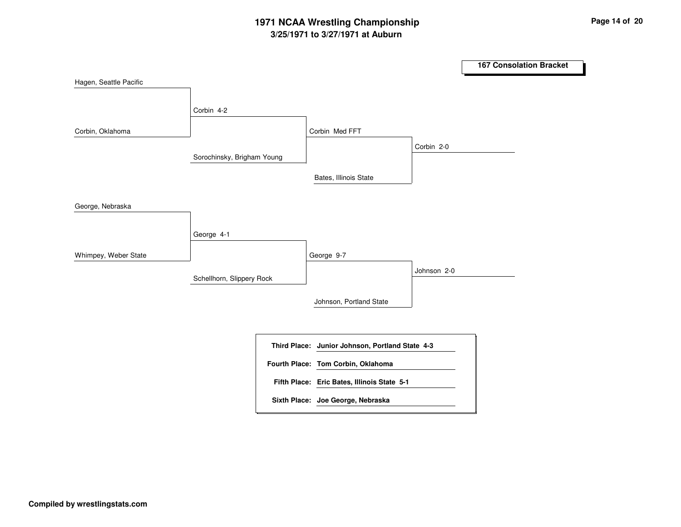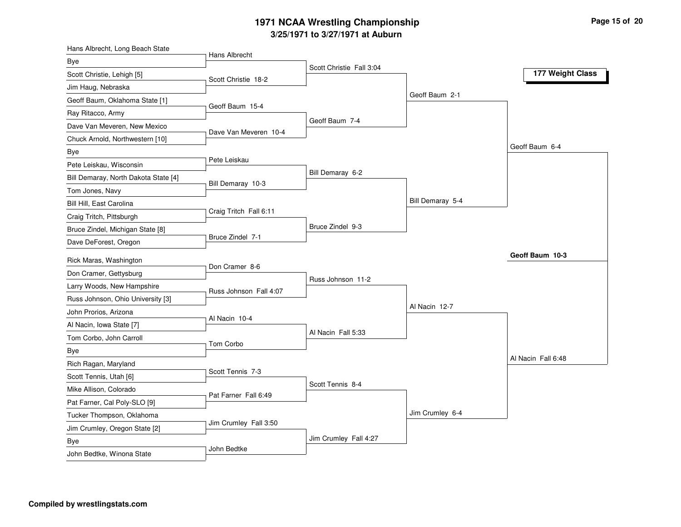# **3/25/1971 to 3/27/1971 at Auburn 1971 NCAA Wrestling Championship Page <sup>15</sup> of <sup>20</sup>**

| Hans Albrecht, Long Beach State      |                        |                          |                  |                    |
|--------------------------------------|------------------------|--------------------------|------------------|--------------------|
| Bye                                  | Hans Albrecht          | Scott Christie Fall 3:04 |                  |                    |
| Scott Christie, Lehigh [5]           | Scott Christie 18-2    |                          |                  | 177 Weight Class   |
| Jim Haug, Nebraska                   |                        |                          |                  |                    |
| Geoff Baum, Oklahoma State [1]       |                        |                          | Geoff Baum 2-1   |                    |
| Ray Ritacco, Army                    | Geoff Baum 15-4        |                          |                  |                    |
| Dave Van Meveren, New Mexico         |                        | Geoff Baum 7-4           |                  |                    |
| Chuck Arnold, Northwestern [10]      | Dave Van Meveren 10-4  |                          |                  |                    |
| Bye                                  |                        |                          |                  | Geoff Baum 6-4     |
| Pete Leiskau, Wisconsin              | Pete Leiskau           |                          |                  |                    |
| Bill Demaray, North Dakota State [4] |                        | Bill Demaray 6-2         |                  |                    |
| Tom Jones, Navy                      | Bill Demaray 10-3      |                          |                  |                    |
| Bill Hill, East Carolina             |                        |                          | Bill Demaray 5-4 |                    |
| Craig Tritch, Pittsburgh             | Craig Tritch Fall 6:11 |                          |                  |                    |
| Bruce Zindel, Michigan State [8]     |                        | Bruce Zindel 9-3         |                  |                    |
| Dave DeForest, Oregon                | Bruce Zindel 7-1       |                          |                  |                    |
|                                      |                        |                          |                  | Geoff Baum 10-3    |
| Rick Maras, Washington               | Don Cramer 8-6         |                          |                  |                    |
| Don Cramer, Gettysburg               |                        | Russ Johnson 11-2        |                  |                    |
| Larry Woods, New Hampshire           | Russ Johnson Fall 4:07 |                          |                  |                    |
| Russ Johnson, Ohio University [3]    |                        |                          | Al Nacin 12-7    |                    |
| John Prorios, Arizona                | Al Nacin 10-4          |                          |                  |                    |
| Al Nacin, Iowa State [7]             |                        | Al Nacin Fall 5:33       |                  |                    |
| Tom Corbo, John Carroll              | Tom Corbo              |                          |                  |                    |
| Bye                                  |                        |                          |                  | Al Nacin Fall 6:48 |
| Rich Ragan, Maryland                 | Scott Tennis 7-3       |                          |                  |                    |
| Scott Tennis, Utah [6]               |                        | Scott Tennis 8-4         |                  |                    |
| Mike Allison, Colorado               | Pat Farner Fall 6:49   |                          |                  |                    |
| Pat Farner, Cal Poly-SLO [9]         |                        |                          |                  |                    |
| Tucker Thompson, Oklahoma            | Jim Crumley Fall 3:50  |                          | Jim Crumley 6-4  |                    |
| Jim Crumley, Oregon State [2]        |                        |                          |                  |                    |
| Bye                                  | John Bedtke            | Jim Crumley Fall 4:27    |                  |                    |
| John Bedtke, Winona State            |                        |                          |                  |                    |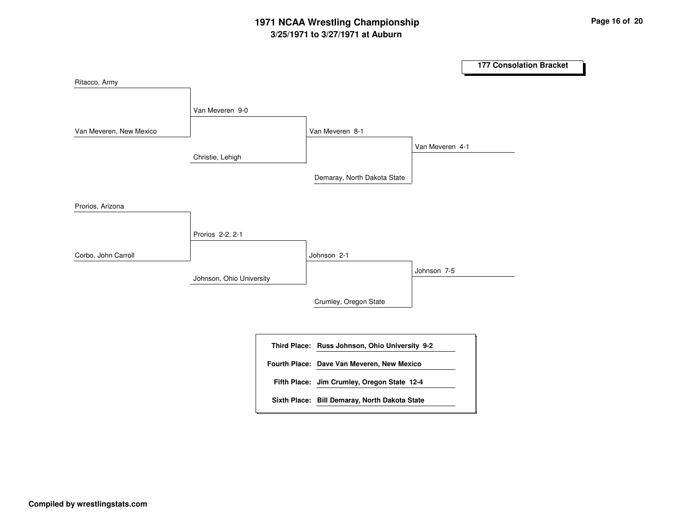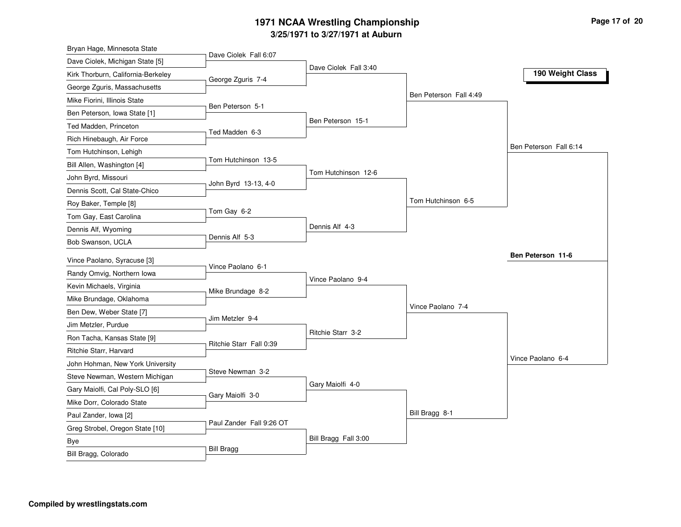# **3/25/1971 to 3/27/1971 at Auburn 1971 NCAA Wrestling Championship Page <sup>17</sup> of <sup>20</sup>**

| Bryan Hage, Minnesota State        | Dave Ciolek Fall 6:07    |                       |                        |                        |
|------------------------------------|--------------------------|-----------------------|------------------------|------------------------|
| Dave Ciolek, Michigan State [5]    |                          | Dave Ciolek Fall 3:40 |                        |                        |
| Kirk Thorburn, California-Berkeley | George Zguris 7-4        |                       |                        | 190 Weight Class       |
| George Zguris, Massachusetts       |                          |                       |                        |                        |
| Mike Fiorini, Illinois State       |                          |                       | Ben Peterson Fall 4:49 |                        |
| Ben Peterson, Iowa State [1]       | Ben Peterson 5-1         |                       |                        |                        |
| Ted Madden, Princeton              |                          | Ben Peterson 15-1     |                        |                        |
| Rich Hinebaugh, Air Force          | Ted Madden 6-3           |                       |                        |                        |
| Tom Hutchinson, Lehigh             |                          |                       |                        | Ben Peterson Fall 6:14 |
| Bill Allen, Washington [4]         | Tom Hutchinson 13-5      |                       |                        |                        |
| John Byrd, Missouri                |                          | Tom Hutchinson 12-6   |                        |                        |
| Dennis Scott, Cal State-Chico      | John Byrd 13-13, 4-0     |                       |                        |                        |
| Roy Baker, Temple [8]              |                          |                       | Tom Hutchinson 6-5     |                        |
| Tom Gay, East Carolina             | Tom Gay 6-2              |                       |                        |                        |
| Dennis Alf, Wyoming                |                          | Dennis Alf 4-3        |                        |                        |
| Bob Swanson, UCLA                  | Dennis Alf 5-3           |                       |                        |                        |
| Vince Paolano, Syracuse [3]        |                          |                       |                        | Ben Peterson 11-6      |
| Randy Omvig, Northern Iowa         | Vince Paolano 6-1        |                       |                        |                        |
| Kevin Michaels, Virginia           |                          | Vince Paolano 9-4     |                        |                        |
| Mike Brundage, Oklahoma            | Mike Brundage 8-2        |                       |                        |                        |
| Ben Dew, Weber State [7]           |                          |                       |                        |                        |
|                                    |                          |                       | Vince Paolano 7-4      |                        |
|                                    | Jim Metzler 9-4          |                       |                        |                        |
| Jim Metzler, Purdue                |                          | Ritchie Starr 3-2     |                        |                        |
| Ron Tacha, Kansas State [9]        | Ritchie Starr Fall 0:39  |                       |                        |                        |
| Ritchie Starr, Harvard             |                          |                       |                        | Vince Paolano 6-4      |
| John Hohman, New York University   | Steve Newman 3-2         |                       |                        |                        |
| Steve Newman, Western Michigan     |                          | Gary Maiolfi 4-0      |                        |                        |
| Gary Maiolfi, Cal Poly-SLO [6]     | Gary Maiolfi 3-0         |                       |                        |                        |
| Mike Dorr, Colorado State          |                          |                       |                        |                        |
| Paul Zander, Iowa [2]              | Paul Zander Fall 9:26 OT |                       | Bill Bragg 8-1         |                        |
| Greg Strobel, Oregon State [10]    |                          |                       |                        |                        |
| Bye<br>Bill Bragg, Colorado        | <b>Bill Bragg</b>        | Bill Bragg Fall 3:00  |                        |                        |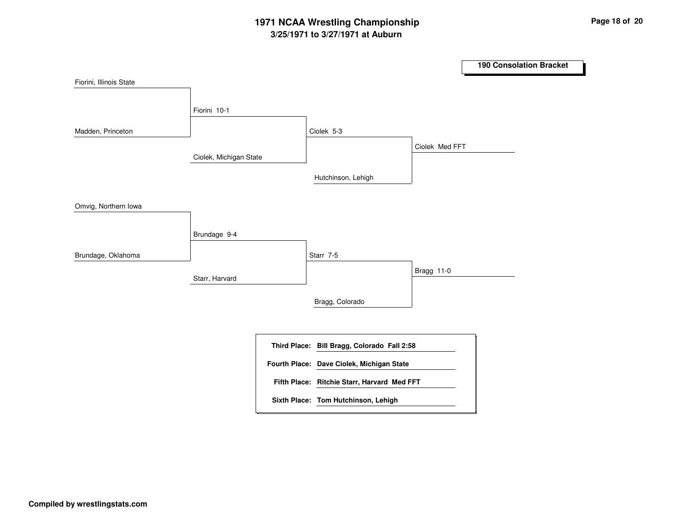# **3/25/1971 to 3/27/1971 at Auburn 1971 NCAA Wrestling Championship Page <sup>18</sup> of <sup>20</sup>**

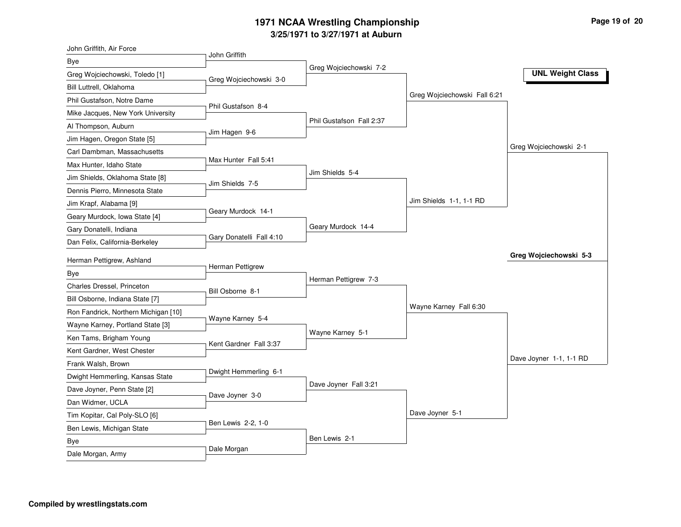# **3/25/1971 to 3/27/1971 at Auburn 1971 NCAA Wrestling Championship Page <sup>19</sup> of <sup>20</sup>**

| John Griffith, Air Force             | John Griffith            |                          |                              |                         |
|--------------------------------------|--------------------------|--------------------------|------------------------------|-------------------------|
| Bye                                  |                          | Greg Wojciechowski 7-2   |                              |                         |
| Greg Wojciechowski, Toledo [1]       | Greg Wojciechowski 3-0   |                          |                              | <b>UNL Weight Class</b> |
| Bill Luttrell, Oklahoma              |                          |                          |                              |                         |
| Phil Gustafson, Notre Dame           | Phil Gustafson 8-4       |                          | Greg Wojciechowski Fall 6:21 |                         |
| Mike Jacques, New York University    |                          |                          |                              |                         |
| Al Thompson, Auburn                  | Jim Hagen 9-6            | Phil Gustafson Fall 2:37 |                              |                         |
| Jim Hagen, Oregon State [5]          |                          |                          |                              |                         |
| Carl Dambman, Massachusetts          |                          |                          |                              | Greg Wojciechowski 2-1  |
| Max Hunter, Idaho State              | Max Hunter Fall 5:41     |                          |                              |                         |
| Jim Shields, Oklahoma State [8]      | Jim Shields 7-5          | Jim Shields 5-4          |                              |                         |
| Dennis Pierro, Minnesota State       |                          |                          |                              |                         |
| Jim Krapf, Alabama [9]               |                          |                          | Jim Shields 1-1, 1-1 RD      |                         |
| Geary Murdock, Iowa State [4]        | Geary Murdock 14-1       |                          |                              |                         |
| Gary Donatelli, Indiana              |                          | Geary Murdock 14-4       |                              |                         |
| Dan Felix, California-Berkeley       | Gary Donatelli Fall 4:10 |                          |                              |                         |
| Herman Pettigrew, Ashland            |                          |                          |                              | Greg Wojciechowski 5-3  |
| <b>Bye</b>                           | Herman Pettigrew         |                          |                              |                         |
| Charles Dressel, Princeton           |                          | Herman Pettigrew 7-3     |                              |                         |
| Bill Osborne, Indiana State [7]      | Bill Osborne 8-1         |                          |                              |                         |
| Ron Fandrick, Northern Michigan [10] |                          |                          | Wayne Karney Fall 6:30       |                         |
| Wayne Karney, Portland State [3]     | Wayne Karney 5-4         |                          |                              |                         |
| Ken Tams, Brigham Young              |                          | Wayne Karney 5-1         |                              |                         |
| Kent Gardner, West Chester           | Kent Gardner Fall 3:37   |                          |                              |                         |
| Frank Walsh, Brown                   |                          |                          |                              | Dave Joyner 1-1, 1-1 RD |
| Dwight Hemmerling, Kansas State      | Dwight Hemmerling 6-1    |                          |                              |                         |
| Dave Joyner, Penn State [2]          |                          | Dave Joyner Fall 3:21    |                              |                         |
| Dan Widmer, UCLA                     | Dave Joyner 3-0          |                          |                              |                         |
| Tim Kopitar, Cal Poly-SLO [6]        |                          |                          | Dave Joyner 5-1              |                         |
| Ben Lewis, Michigan State            | Ben Lewis 2-2, 1-0       |                          |                              |                         |
| Bye                                  | Dale Morgan              | Ben Lewis 2-1            |                              |                         |
|                                      |                          |                          |                              |                         |